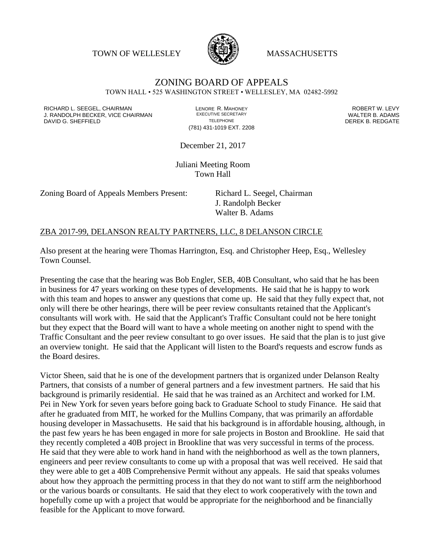TOWN OF WELLESLEY **WASSACHUSETTS** 



## ZONING BOARD OF APPEALS TOWN HALL • 525 WASHINGTON STREET • WELLESLEY, MA 02482-5992

RICHARD L. SEEGEL, CHAIRMAN LENORE R. MAHONEY ROBERT W. LEVY J. RANDOLPH BECKER, VICE CHAIRMAN EXECUTIVE SECRETARY THE SANDOLPH BECKER B. ADAMS<br>DEREK B. REDGATE TELEPHONE THE THE THE SAND DEREK B. REDGATE

(781) 431-1019 EXT. 2208

DEREK B. REDGATE

December 21, 2017

Juliani Meeting Room Town Hall

Zoning Board of Appeals Members Present: Richard L. Seegel, Chairman

J. Randolph Becker Walter B. Adams

## ZBA 2017-99, DELANSON REALTY PARTNERS, LLC, 8 DELANSON CIRCLE

Also present at the hearing were Thomas Harrington, Esq. and Christopher Heep, Esq., Wellesley Town Counsel.

Presenting the case that the hearing was Bob Engler, SEB, 40B Consultant, who said that he has been in business for 47 years working on these types of developments. He said that he is happy to work with this team and hopes to answer any questions that come up. He said that they fully expect that, not only will there be other hearings, there will be peer review consultants retained that the Applicant's consultants will work with. He said that the Applicant's Traffic Consultant could not be here tonight but they expect that the Board will want to have a whole meeting on another night to spend with the Traffic Consultant and the peer review consultant to go over issues. He said that the plan is to just give an overview tonight. He said that the Applicant will listen to the Board's requests and escrow funds as the Board desires.

Victor Sheen, said that he is one of the development partners that is organized under Delanson Realty Partners, that consists of a number of general partners and a few investment partners. He said that his background is primarily residential. He said that he was trained as an Architect and worked for I.M. Pei in New York for seven years before going back to Graduate School to study Finance. He said that after he graduated from MIT, he worked for the Mullins Company, that was primarily an affordable housing developer in Massachusetts. He said that his background is in affordable housing, although, in the past few years he has been engaged in more for sale projects in Boston and Brookline. He said that they recently completed a 40B project in Brookline that was very successful in terms of the process. He said that they were able to work hand in hand with the neighborhood as well as the town planners, engineers and peer review consultants to come up with a proposal that was well received. He said that they were able to get a 40B Comprehensive Permit without any appeals. He said that speaks volumes about how they approach the permitting process in that they do not want to stiff arm the neighborhood or the various boards or consultants. He said that they elect to work cooperatively with the town and hopefully come up with a project that would be appropriate for the neighborhood and be financially feasible for the Applicant to move forward.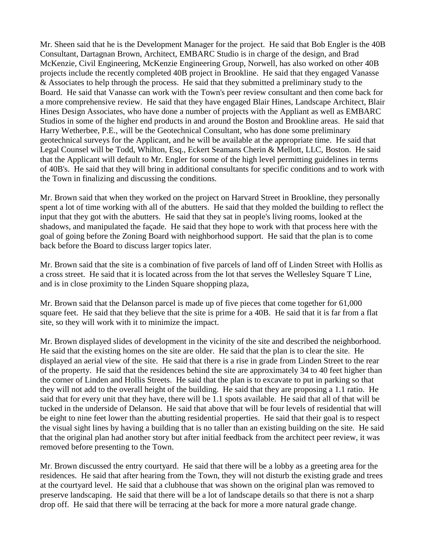Mr. Sheen said that he is the Development Manager for the project. He said that Bob Engler is the 40B Consultant, Dartagnan Brown, Architect, EMBARC Studio is in charge of the design, and Brad McKenzie, Civil Engineering, McKenzie Engineering Group, Norwell, has also worked on other 40B projects include the recently completed 40B project in Brookline. He said that they engaged Vanasse & Associates to help through the process. He said that they submitted a preliminary study to the Board. He said that Vanasse can work with the Town's peer review consultant and then come back for a more comprehensive review. He said that they have engaged Blair Hines, Landscape Architect, Blair Hines Design Associates, who have done a number of projects with the Appliant as well as EMBARC Studios in some of the higher end products in and around the Boston and Brookline areas. He said that Harry Wetherbee, P.E., will be the Geotechnical Consultant, who has done some preliminary geotechnical surveys for the Applicant, and he will be available at the appropriate time. He said that Legal Counsel will be Todd, Whilton, Esq., Eckert Seamans Cherin & Mellott, LLC, Boston. He said that the Applicant will default to Mr. Engler for some of the high level permitting guidelines in terms of 40B's. He said that they will bring in additional consultants for specific conditions and to work with the Town in finalizing and discussing the conditions.

Mr. Brown said that when they worked on the project on Harvard Street in Brookline, they personally spent a lot of time working with all of the abutters. He said that they molded the building to reflect the input that they got with the abutters. He said that they sat in people's living rooms, looked at the shadows, and manipulated the façade. He said that they hope to work with that process here with the goal of going before the Zoning Board with neighborhood support. He said that the plan is to come back before the Board to discuss larger topics later.

Mr. Brown said that the site is a combination of five parcels of land off of Linden Street with Hollis as a cross street. He said that it is located across from the lot that serves the Wellesley Square T Line, and is in close proximity to the Linden Square shopping plaza,

Mr. Brown said that the Delanson parcel is made up of five pieces that come together for 61,000 square feet. He said that they believe that the site is prime for a 40B. He said that it is far from a flat site, so they will work with it to minimize the impact.

Mr. Brown displayed slides of development in the vicinity of the site and described the neighborhood. He said that the existing homes on the site are older. He said that the plan is to clear the site. He displayed an aerial view of the site. He said that there is a rise in grade from Linden Street to the rear of the property. He said that the residences behind the site are approximately 34 to 40 feet higher than the corner of Linden and Hollis Streets. He said that the plan is to excavate to put in parking so that they will not add to the overall height of the building. He said that they are proposing a 1.1 ratio. He said that for every unit that they have, there will be 1.1 spots available. He said that all of that will be tucked in the underside of Delanson. He said that above that will be four levels of residential that will be eight to nine feet lower than the abutting residential properties. He said that their goal is to respect the visual sight lines by having a building that is no taller than an existing building on the site. He said that the original plan had another story but after initial feedback from the architect peer review, it was removed before presenting to the Town.

Mr. Brown discussed the entry courtyard. He said that there will be a lobby as a greeting area for the residences. He said that after hearing from the Town, they will not disturb the existing grade and trees at the courtyard level. He said that a clubhouse that was shown on the original plan was removed to preserve landscaping. He said that there will be a lot of landscape details so that there is not a sharp drop off. He said that there will be terracing at the back for more a more natural grade change.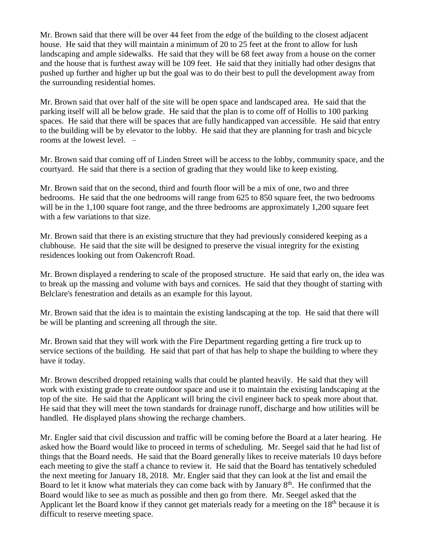Mr. Brown said that there will be over 44 feet from the edge of the building to the closest adjacent house. He said that they will maintain a minimum of 20 to 25 feet at the front to allow for lush landscaping and ample sidewalks. He said that they will be 68 feet away from a house on the corner and the house that is furthest away will be 109 feet. He said that they initially had other designs that pushed up further and higher up but the goal was to do their best to pull the development away from the surrounding residential homes.

Mr. Brown said that over half of the site will be open space and landscaped area. He said that the parking itself will all be below grade. He said that the plan is to come off of Hollis to 100 parking spaces. He said that there will be spaces that are fully handicapped van accessible. He said that entry to the building will be by elevator to the lobby. He said that they are planning for trash and bicycle rooms at the lowest level. –

Mr. Brown said that coming off of Linden Street will be access to the lobby, community space, and the courtyard. He said that there is a section of grading that they would like to keep existing.

Mr. Brown said that on the second, third and fourth floor will be a mix of one, two and three bedrooms. He said that the one bedrooms will range from 625 to 850 square feet, the two bedrooms will be in the 1,100 square foot range, and the three bedrooms are approximately 1,200 square feet with a few variations to that size.

Mr. Brown said that there is an existing structure that they had previously considered keeping as a clubhouse. He said that the site will be designed to preserve the visual integrity for the existing residences looking out from Oakencroft Road.

Mr. Brown displayed a rendering to scale of the proposed structure. He said that early on, the idea was to break up the massing and volume with bays and cornices. He said that they thought of starting with Belclare's fenestration and details as an example for this layout.

Mr. Brown said that the idea is to maintain the existing landscaping at the top. He said that there will be will be planting and screening all through the site.

Mr. Brown said that they will work with the Fire Department regarding getting a fire truck up to service sections of the building. He said that part of that has help to shape the building to where they have it today.

Mr. Brown described dropped retaining walls that could be planted heavily. He said that they will work with existing grade to create outdoor space and use it to maintain the existing landscaping at the top of the site. He said that the Applicant will bring the civil engineer back to speak more about that. He said that they will meet the town standards for drainage runoff, discharge and how utilities will be handled. He displayed plans showing the recharge chambers.

Mr. Engler said that civil discussion and traffic will be coming before the Board at a later hearing. He asked how the Board would like to proceed in terms of scheduling. Mr. Seegel said that he had list of things that the Board needs. He said that the Board generally likes to receive materials 10 days before each meeting to give the staff a chance to review it. He said that the Board has tentatively scheduled the next meeting for January 18, 2018. Mr. Engler said that they can look at the list and email the Board to let it know what materials they can come back with by January 8<sup>th</sup>. He confirmed that the Board would like to see as much as possible and then go from there. Mr. Seegel asked that the Applicant let the Board know if they cannot get materials ready for a meeting on the  $18<sup>th</sup>$  because it is difficult to reserve meeting space.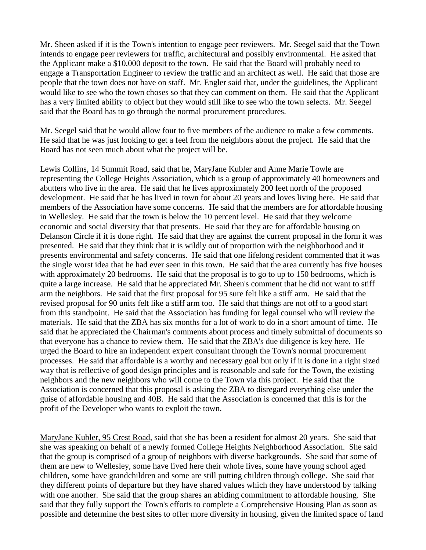Mr. Sheen asked if it is the Town's intention to engage peer reviewers. Mr. Seegel said that the Town intends to engage peer reviewers for traffic, architectural and possibly environmental. He asked that the Applicant make a \$10,000 deposit to the town. He said that the Board will probably need to engage a Transportation Engineer to review the traffic and an architect as well. He said that those are people that the town does not have on staff. Mr. Engler said that, under the guidelines, the Applicant would like to see who the town choses so that they can comment on them. He said that the Applicant has a very limited ability to object but they would still like to see who the town selects. Mr. Seegel said that the Board has to go through the normal procurement procedures.

Mr. Seegel said that he would allow four to five members of the audience to make a few comments. He said that he was just looking to get a feel from the neighbors about the project. He said that the Board has not seen much about what the project will be.

Lewis Collins, 14 Summit Road, said that he, MaryJane Kubler and Anne Marie Towle are representing the College Heights Association, which is a group of approximately 40 homeowners and abutters who live in the area. He said that he lives approximately 200 feet north of the proposed development. He said that he has lived in town for about 20 years and loves living here. He said that members of the Association have some concerns. He said that the members are for affordable housing in Wellesley. He said that the town is below the 10 percent level. He said that they welcome economic and social diversity that that presents. He said that they are for affordable housing on Delanson Circle if it is done right. He said that they are against the current proposal in the form it was presented. He said that they think that it is wildly out of proportion with the neighborhood and it presents environmental and safety concerns. He said that one lifelong resident commented that it was the single worst idea that he had ever seen in this town. He said that the area currently has five houses with approximately 20 bedrooms. He said that the proposal is to go to up to 150 bedrooms, which is quite a large increase. He said that he appreciated Mr. Sheen's comment that he did not want to stiff arm the neighbors. He said that the first proposal for 95 sure felt like a stiff arm. He said that the revised proposal for 90 units felt like a stiff arm too. He said that things are not off to a good start from this standpoint. He said that the Association has funding for legal counsel who will review the materials. He said that the ZBA has six months for a lot of work to do in a short amount of time. He said that he appreciated the Chairman's comments about process and timely submittal of documents so that everyone has a chance to review them. He said that the ZBA's due diligence is key here. He urged the Board to hire an independent expert consultant through the Town's normal procurement processes. He said that affordable is a worthy and necessary goal but only if it is done in a right sized way that is reflective of good design principles and is reasonable and safe for the Town, the existing neighbors and the new neighbors who will come to the Town via this project. He said that the Association is concerned that this proposal is asking the ZBA to disregard everything else under the guise of affordable housing and 40B. He said that the Association is concerned that this is for the profit of the Developer who wants to exploit the town.

MaryJane Kubler, 95 Crest Road, said that she has been a resident for almost 20 years. She said that she was speaking on behalf of a newly formed College Heights Neighborhood Association. She said that the group is comprised of a group of neighbors with diverse backgrounds. She said that some of them are new to Wellesley, some have lived here their whole lives, some have young school aged children, some have grandchildren and some are still putting children through college. She said that they different points of departure but they have shared values which they have understood by talking with one another. She said that the group shares an abiding commitment to affordable housing. She said that they fully support the Town's efforts to complete a Comprehensive Housing Plan as soon as possible and determine the best sites to offer more diversity in housing, given the limited space of land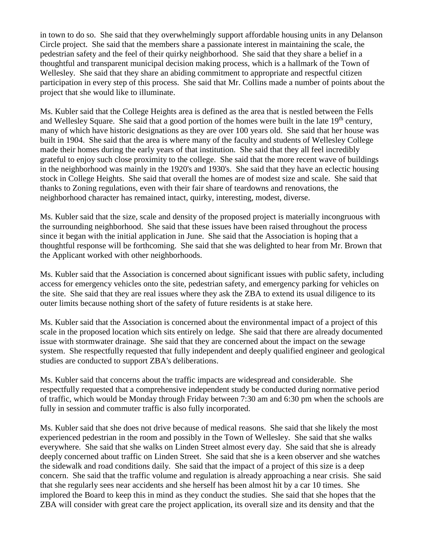in town to do so. She said that they overwhelmingly support affordable housing units in any Delanson Circle project. She said that the members share a passionate interest in maintaining the scale, the pedestrian safety and the feel of their quirky neighborhood. She said that they share a belief in a thoughtful and transparent municipal decision making process, which is a hallmark of the Town of Wellesley. She said that they share an abiding commitment to appropriate and respectful citizen participation in every step of this process. She said that Mr. Collins made a number of points about the project that she would like to illuminate.

Ms. Kubler said that the College Heights area is defined as the area that is nestled between the Fells and Wellesley Square. She said that a good portion of the homes were built in the late 19<sup>th</sup> century, many of which have historic designations as they are over 100 years old. She said that her house was built in 1904. She said that the area is where many of the faculty and students of Wellesley College made their homes during the early years of that institution. She said that they all feel incredibly grateful to enjoy such close proximity to the college. She said that the more recent wave of buildings in the neighborhood was mainly in the 1920's and 1930's. She said that they have an eclectic housing stock in College Heights. She said that overall the homes are of modest size and scale. She said that thanks to Zoning regulations, even with their fair share of teardowns and renovations, the neighborhood character has remained intact, quirky, interesting, modest, diverse.

Ms. Kubler said that the size, scale and density of the proposed project is materially incongruous with the surrounding neighborhood. She said that these issues have been raised throughout the process since it began with the initial application in June. She said that the Association is hoping that a thoughtful response will be forthcoming. She said that she was delighted to hear from Mr. Brown that the Applicant worked with other neighborhoods.

Ms. Kubler said that the Association is concerned about significant issues with public safety, including access for emergency vehicles onto the site, pedestrian safety, and emergency parking for vehicles on the site. She said that they are real issues where they ask the ZBA to extend its usual diligence to its outer limits because nothing short of the safety of future residents is at stake here.

Ms. Kubler said that the Association is concerned about the environmental impact of a project of this scale in the proposed location which sits entirely on ledge. She said that there are already documented issue with stormwater drainage. She said that they are concerned about the impact on the sewage system. She respectfully requested that fully independent and deeply qualified engineer and geological studies are conducted to support ZBA's deliberations.

Ms. Kubler said that concerns about the traffic impacts are widespread and considerable. She respectfully requested that a comprehensive independent study be conducted during normative period of traffic, which would be Monday through Friday between 7:30 am and 6:30 pm when the schools are fully in session and commuter traffic is also fully incorporated.

Ms. Kubler said that she does not drive because of medical reasons. She said that she likely the most experienced pedestrian in the room and possibly in the Town of Wellesley. She said that she walks everywhere. She said that she walks on Linden Street almost every day. She said that she is already deeply concerned about traffic on Linden Street. She said that she is a keen observer and she watches the sidewalk and road conditions daily. She said that the impact of a project of this size is a deep concern. She said that the traffic volume and regulation is already approaching a near crisis. She said that she regularly sees near accidents and she herself has been almost hit by a car 10 times. She implored the Board to keep this in mind as they conduct the studies. She said that she hopes that the ZBA will consider with great care the project application, its overall size and its density and that the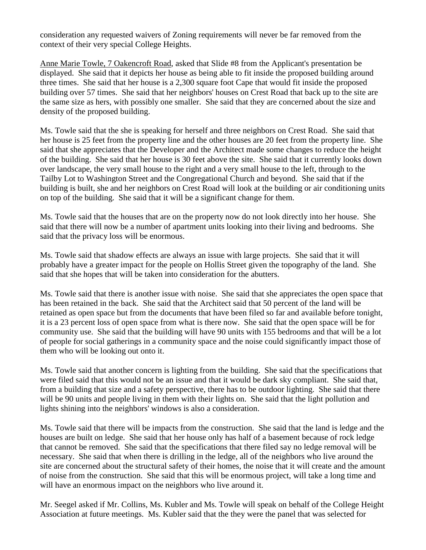consideration any requested waivers of Zoning requirements will never be far removed from the context of their very special College Heights.

Anne Marie Towle, 7 Oakencroft Road, asked that Slide #8 from the Applicant's presentation be displayed. She said that it depicts her house as being able to fit inside the proposed building around three times. She said that her house is a 2,300 square foot Cape that would fit inside the proposed building over 57 times. She said that her neighbors' houses on Crest Road that back up to the site are the same size as hers, with possibly one smaller. She said that they are concerned about the size and density of the proposed building.

Ms. Towle said that the she is speaking for herself and three neighbors on Crest Road. She said that her house is 25 feet from the property line and the other houses are 20 feet from the property line. She said that she appreciates that the Developer and the Architect made some changes to reduce the height of the building. She said that her house is 30 feet above the site. She said that it currently looks down over landscape, the very small house to the right and a very small house to the left, through to the Tailby Lot to Washington Street and the Congregational Church and beyond. She said that if the building is built, she and her neighbors on Crest Road will look at the building or air conditioning units on top of the building. She said that it will be a significant change for them.

Ms. Towle said that the houses that are on the property now do not look directly into her house. She said that there will now be a number of apartment units looking into their living and bedrooms. She said that the privacy loss will be enormous.

Ms. Towle said that shadow effects are always an issue with large projects. She said that it will probably have a greater impact for the people on Hollis Street given the topography of the land. She said that she hopes that will be taken into consideration for the abutters.

Ms. Towle said that there is another issue with noise. She said that she appreciates the open space that has been retained in the back. She said that the Architect said that 50 percent of the land will be retained as open space but from the documents that have been filed so far and available before tonight, it is a 23 percent loss of open space from what is there now. She said that the open space will be for community use. She said that the building will have 90 units with 155 bedrooms and that will be a lot of people for social gatherings in a community space and the noise could significantly impact those of them who will be looking out onto it.

Ms. Towle said that another concern is lighting from the building. She said that the specifications that were filed said that this would not be an issue and that it would be dark sky compliant. She said that, from a building that size and a safety perspective, there has to be outdoor lighting. She said that there will be 90 units and people living in them with their lights on. She said that the light pollution and lights shining into the neighbors' windows is also a consideration.

Ms. Towle said that there will be impacts from the construction. She said that the land is ledge and the houses are built on ledge. She said that her house only has half of a basement because of rock ledge that cannot be removed. She said that the specifications that there filed say no ledge removal will be necessary. She said that when there is drilling in the ledge, all of the neighbors who live around the site are concerned about the structural safety of their homes, the noise that it will create and the amount of noise from the construction. She said that this will be enormous project, will take a long time and will have an enormous impact on the neighbors who live around it.

Mr. Seegel asked if Mr. Collins, Ms. Kubler and Ms. Towle will speak on behalf of the College Height Association at future meetings. Ms. Kubler said that the they were the panel that was selected for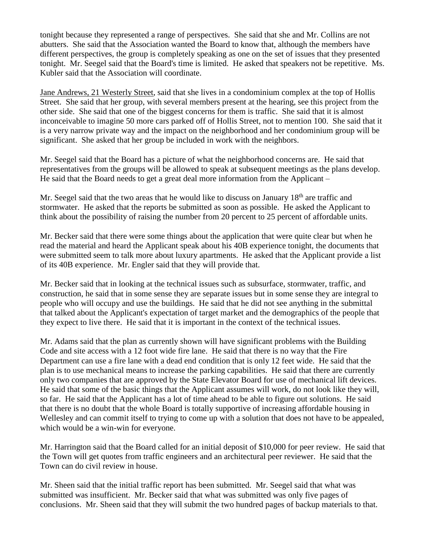tonight because they represented a range of perspectives. She said that she and Mr. Collins are not abutters. She said that the Association wanted the Board to know that, although the members have different perspectives, the group is completely speaking as one on the set of issues that they presented tonight. Mr. Seegel said that the Board's time is limited. He asked that speakers not be repetitive. Ms. Kubler said that the Association will coordinate.

Jane Andrews, 21 Westerly Street, said that she lives in a condominium complex at the top of Hollis Street. She said that her group, with several members present at the hearing, see this project from the other side. She said that one of the biggest concerns for them is traffic. She said that it is almost inconceivable to imagine 50 more cars parked off of Hollis Street, not to mention 100. She said that it is a very narrow private way and the impact on the neighborhood and her condominium group will be significant. She asked that her group be included in work with the neighbors.

Mr. Seegel said that the Board has a picture of what the neighborhood concerns are. He said that representatives from the groups will be allowed to speak at subsequent meetings as the plans develop. He said that the Board needs to get a great deal more information from the Applicant –

Mr. Seegel said that the two areas that he would like to discuss on January 18<sup>th</sup> are traffic and stormwater. He asked that the reports be submitted as soon as possible. He asked the Applicant to think about the possibility of raising the number from 20 percent to 25 percent of affordable units.

Mr. Becker said that there were some things about the application that were quite clear but when he read the material and heard the Applicant speak about his 40B experience tonight, the documents that were submitted seem to talk more about luxury apartments. He asked that the Applicant provide a list of its 40B experience. Mr. Engler said that they will provide that.

Mr. Becker said that in looking at the technical issues such as subsurface, stormwater, traffic, and construction, he said that in some sense they are separate issues but in some sense they are integral to people who will occupy and use the buildings. He said that he did not see anything in the submittal that talked about the Applicant's expectation of target market and the demographics of the people that they expect to live there. He said that it is important in the context of the technical issues.

Mr. Adams said that the plan as currently shown will have significant problems with the Building Code and site access with a 12 foot wide fire lane. He said that there is no way that the Fire Department can use a fire lane with a dead end condition that is only 12 feet wide. He said that the plan is to use mechanical means to increase the parking capabilities. He said that there are currently only two companies that are approved by the State Elevator Board for use of mechanical lift devices. He said that some of the basic things that the Applicant assumes will work, do not look like they will, so far. He said that the Applicant has a lot of time ahead to be able to figure out solutions. He said that there is no doubt that the whole Board is totally supportive of increasing affordable housing in Wellesley and can commit itself to trying to come up with a solution that does not have to be appealed, which would be a win-win for everyone.

Mr. Harrington said that the Board called for an initial deposit of \$10,000 for peer review. He said that the Town will get quotes from traffic engineers and an architectural peer reviewer. He said that the Town can do civil review in house.

Mr. Sheen said that the initial traffic report has been submitted. Mr. Seegel said that what was submitted was insufficient. Mr. Becker said that what was submitted was only five pages of conclusions. Mr. Sheen said that they will submit the two hundred pages of backup materials to that.